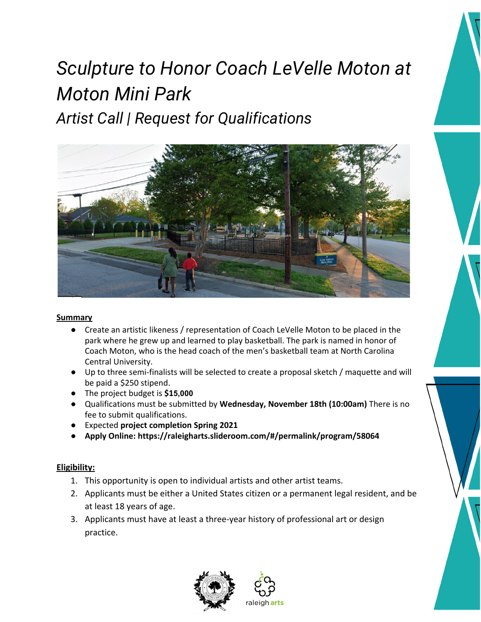# *Sculpture to Honor Coach LeVelle Moton at Moton Mini Park Artist Call | Request for Qualifications*



## **Summary**

- Create an artistic likeness / representation of Coach LeVelle Moton to be placed in the park where he grew up and learned to play basketball. The park is named in honor of Coach Moton, who is the head coach of the men's basketball team at North Carolina Central University.
- Up to three semi-finalists will be selected to create a proposal sketch / maquette and will be paid a \$250 stipend.
- The project budget is **\$15,000**
- Qualifications must be submitted by **Wednesday, November 18th (10:00am)** There is no fee to submit qualifications.
- Expected **project completion Spring 2021**
- **Apply Online: https://raleigharts.slideroom.com/#/permalink/program/58064**

# **Eligibility:**

- 1. This opportunity is open to individual artists and other artist teams.
- 2. Applicants must be either a United States citizen or a permanent legal resident, and be at least 18 years of age.
- 3. Applicants must have at least a three-year history of professional art or design practice.



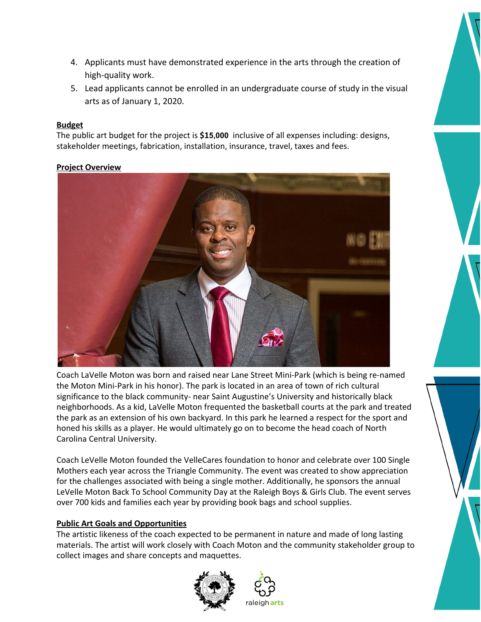- 4. Applicants must have demonstrated experience in the arts through the creation of high-quality work.
- 5. Lead applicants cannot be enrolled in an undergraduate course of study in the visual arts as of January 1, 2020.

## **Budget**

The public art budget for the project is **\$15,000** inclusive of all expenses including: designs, stakeholder meetings, fabrication, installation, insurance, travel, taxes and fees.

# **Project Overview**



Coach LaVelle Moton was born and raised near Lane Street Mini-Park (which is being re-named the Moton Mini-Park in his honor). The park is located in an area of town of rich cultural significance to the black community- near Saint Augustine's University and historically black neighborhoods. As a kid, LaVelle Moton frequented the basketball courts at the park and treated the park as an extension of his own backyard. In this park he learned a respect for the sport and honed his skills as a player. He would ultimately go on to become the head coach of North Carolina Central University.

Coach LeVelle Moton founded the VelleCares foundation to honor and celebrate over 100 Single Mothers each year across the Triangle Community. The event was created to show appreciation for the challenges associated with being a single mother. Additionally, he sponsors the annual LeVelle Moton Back To School Community Day at the Raleigh Boys & Girls Club. The event serves over 700 kids and families each year by providing book bags and school supplies.

# **Public Art Goals and Opportunities**

The artistic likeness of the coach expected to be permanent in nature and made of long lasting materials. The artist will work closely with Coach Moton and the community stakeholder group to collect images and share concepts and maquettes.





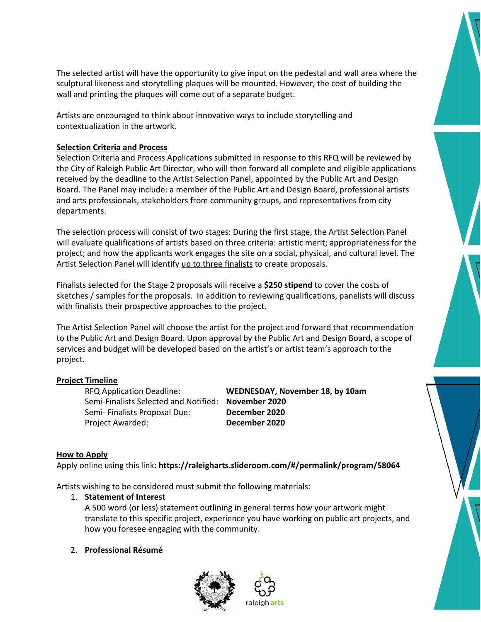

Artists are encouraged to think about innovative ways to include storytelling and contextualization in the artwork.

#### **Selection Criteria and Process**

Selection Criteria and Process Applications submitted in response to this RFQ will be reviewed by the City of Raleigh Public Art Director, who will then forward all complete and eligible applications received by the deadline to the Artist Selection Panel, appointed by the Public Art and Design Board. The Panel may include: a member of the Public Art and Design Board, professional artists and arts professionals, stakeholders from community groups, and representatives from city departments.

The selection process will consist of two stages: During the first stage, the Artist Selection Panel will evaluate qualifications of artists based on three criteria: artistic merit; appropriateness for the project; and how the applicants work engages the site on a social, physical, and cultural level. The Artist Selection Panel will identify up to three finalists to create proposals.

Finalists selected for the Stage 2 proposals will receive a **\$250 stipend** to cover the costs of sketches / samples for the proposals. In addition to reviewing qualifications, panelists will discuss with finalists their prospective approaches to the project.

The Artist Selection Panel will choose the artist for the project and forward that recommendation to the Public Art and Design Board. Upon approval by the Public Art and Design Board, a scope of services and budget will be developed based on the artist's or artist team's approach to the project.

#### **Project Timeline**

Semi-Finalists Selected and Notified: **November 2020** Semi- Finalists Proposal Due: **December 2020** Project Awarded: **December 2020**

RFQ Application Deadline: **WEDNESDAY, November 18, by 10am**

#### **How to Apply**

Apply online using this link: **https://raleigharts.slideroom.com/#/permalink/program/58064**

Artists wishing to be considered must submit the following materials:

#### 1. **Statement of Interest**

A 500 word (or less) statement outlining in general terms how your artwork might translate to this specific project, experience you have working on public art projects, and how you foresee engaging with the community.

#### 2. **Professional Résumé**